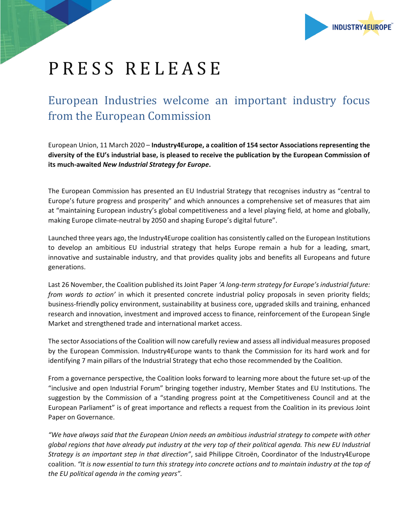

## PRESS RELEASE

## European Industries welcome an important industry focus from the European Commission

European Union, 11 March 2020 – **Industry4Europe, a coalition of 154 sector Associations representing the diversity of the EU's industrial base, is pleased to receive the publication by the European Commission of its much-awaited** *New Industrial Strategy for Europe***.**

The European Commission has presented an EU Industrial Strategy that recognises industry as "central to Europe's future progress and prosperity" and which announces a comprehensive set of measures that aim at "maintaining European industry's global competitiveness and a level playing field, at home and globally, making Europe climate-neutral by 2050 and shaping Europe's digital future".

Launched three years ago, the Industry4Europe coalition has consistently called on the European Institutions to develop an ambitious EU industrial strategy that helps Europe remain a hub for a leading, smart, innovative and sustainable industry, and that provides quality jobs and benefits all Europeans and future generations.

Last 26 November, the Coalition published its Joint Paper *'A long-term strategy for Europe's industrial future: from words to action'* in which it presented concrete industrial policy proposals in seven priority fields; business-friendly policy environment, sustainability at business core, upgraded skills and training, enhanced research and innovation, investment and improved access to finance, reinforcement of the European Single Market and strengthened trade and international market access.

The sector Associations of the Coalition will now carefully review and assess all individual measures proposed by the European Commission. Industry4Europe wants to thank the Commission for its hard work and for identifying 7 main pillars of the Industrial Strategy that echo those recommended by the Coalition.

From a governance perspective, the Coalition looks forward to learning more about the future set-up of the "inclusive and open Industrial Forum" bringing together industry, Member States and EU Institutions. The suggestion by the Commission of a "standing progress point at the Competitiveness Council and at the European Parliament" is of great importance and reflects a request from the Coalition in its previous Joint Paper on Governance.

*"We have always said that the European Union needs an ambitious industrial strategy to compete with other global regions that have already put industry at the very top of their political agenda. This new EU Industrial Strategy is an important step in that direction"*, said Philippe Citroën, Coordinator of the Industry4Europe coalition. *"It is now essential to turn this strategy into concrete actions and to maintain industry at the top of the EU political agenda in the coming years".*